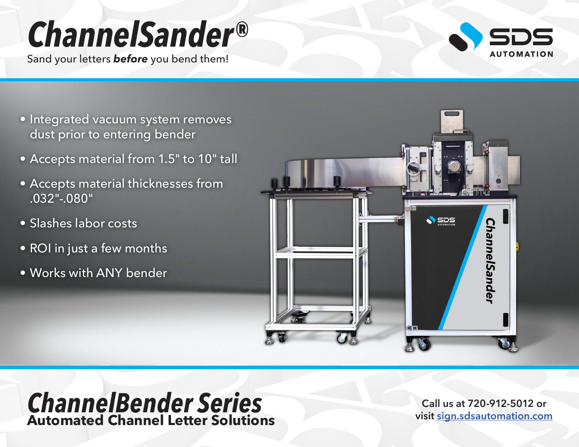## *ChannelSander®*

Sand your letters *before* you bend them!



- Integrated vacuum system removes dust prior to entering bender
- Accepts material from 1.5" to 10" tall
- Accepts material thicknesses from .032"-.080"
- Slashes labor costs
- ROI in just a few months
- Works with ANY bender



## *ChannelBender Series* **Automated Channel Letter Solutions**

**Call us at 720-912-5012 or visit [sign.sdsautomation.com](https://sign.sdsautomation.com/?utm_source=PDF+Spec+Sheets&utm_medium=PDF&utm_campaign=Literature)**